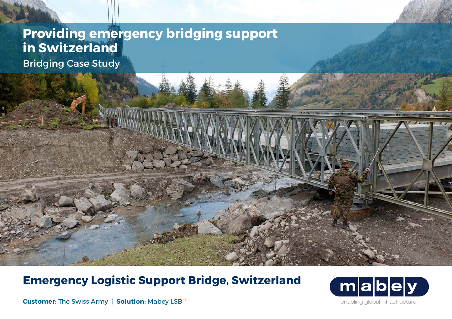## **Providing emergency bridging support in Switzerland** Bridging Case Study

**Emergency Logistic Support Bridge, Switzerland**



**Customer:** The Swiss Army | **Solution:** Mabey LSB™